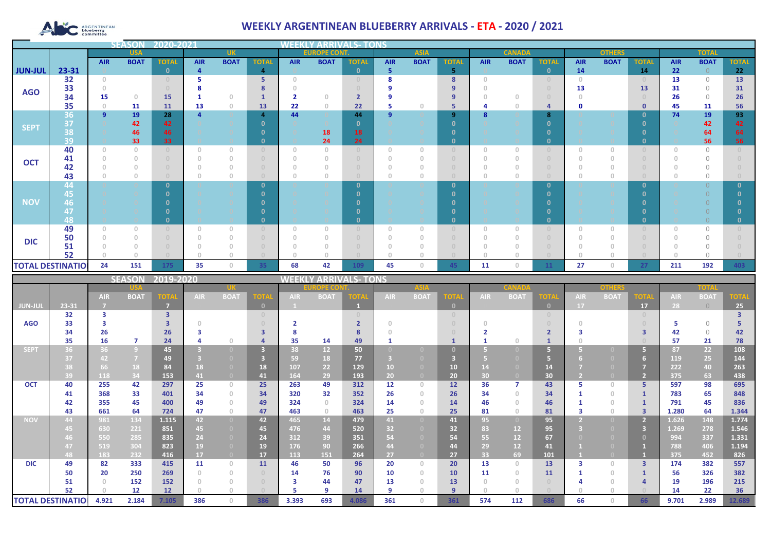# **ARGENTINEAN**

## **WEEKLY ARGENTINEAN BLUEBERRY ARRIVALS - ETA - 2020 / 2021**

| <b>SEASOI</b><br>2020-2021 |            |                                  |             |              |            |                                       |                                  |                                       | WEEKLY AI           |              |                |                                       |                                       |               |             |                                  |            |               |              |              |             |              |  |
|----------------------------|------------|----------------------------------|-------------|--------------|------------|---------------------------------------|----------------------------------|---------------------------------------|---------------------|--------------|----------------|---------------------------------------|---------------------------------------|---------------|-------------|----------------------------------|------------|---------------|--------------|--------------|-------------|--------------|--|
|                            | <b>USA</b> |                                  |             | <b>UK</b>    |            |                                       |                                  |                                       | <b>EUROPE CONT.</b> |              |                | <b>ASIA</b>                           |                                       | <b>CANADA</b> |             |                                  |            | <b>OTHERS</b> |              | <b>TOTAL</b> |             |              |  |
|                            |            | <b>AIR</b>                       | <b>BOAT</b> | <b>TOTAL</b> | <b>AIR</b> | <b>BOAT</b>                           | <b>TOTAL</b>                     | <b>AIR</b>                            | <b>BOAT</b>         | <b>TOTAL</b> | <b>AIR</b>     | <b>BOAT</b>                           | <b>TOTAL</b>                          | <b>AIR</b>    | <b>BOAT</b> | <b>TOTAL</b>                     | <b>AIR</b> | <b>BOAT</b>   | <b>TOTAL</b> | <b>AIR</b>   | <b>BOAT</b> | <b>TOTAL</b> |  |
| <b>JUN-JUL</b>             | 23-31      |                                  |             | $\Omega$     | 4          |                                       | $\overline{4}$                   |                                       |                     | $\mathbf{0}$ | 5              |                                       | 5.                                    |               |             | $\mathbf{0}$                     | 14         |               | 14           | 22           | $\Omega$    | 22           |  |
|                            | 32         | $\begin{array}{c} 0 \end{array}$ |             |              |            |                                       | 5                                | $\Omega$                              |                     |              | 8              |                                       | 8                                     | $\Omega$      |             | $\begin{array}{c} \n\end{array}$ | $\Box$     |               |              | 13           | $\Omega$    | 13           |  |
| <b>AGO</b>                 | 33         |                                  |             |              |            |                                       |                                  |                                       |                     |              |                |                                       | 9                                     |               |             |                                  | 13         |               | 13           | 31           | $\bigcap$   | 31           |  |
|                            | 34         | 15                               | $\circ$     | 15           |            | $\Omega$                              |                                  | $\overline{\mathbf{2}}$               | $\Omega$            |              |                |                                       | 9                                     |               |             |                                  |            |               |              | 26           | $\Omega$    | 26           |  |
|                            | 35         | $\mathbf{0}$                     | 11          | <b>11</b>    | 13         | $\theta$                              | 13                               | 22                                    | $\circ$             | 22           | 5              | $\Box$                                | 5                                     |               |             | 4                                | o          |               | $\mathbf 0$  | 45           | 11          | 56           |  |
|                            | 36         | $\overline{9}$                   | 19          | 28           |            |                                       | 4                                | 44                                    |                     | 44           | $\overline{9}$ |                                       | 9                                     |               |             | 8                                |            |               | 0            | 74           | 19          | 93           |  |
| <b>SEPT</b>                | 37         |                                  | 42          | 42           |            |                                       | $\Omega$                         |                                       |                     | n            |                |                                       | $\Omega$                              |               |             | $\Omega$                         |            |               | $\Omega$     |              | 42          | 42           |  |
|                            | 38<br>39   |                                  | 46<br>33    | 46           |            |                                       | $\Omega$                         |                                       | 18<br>24            | 18           |                |                                       | n<br>$\mathbf{0}$                     |               |             | $\mathbf{0}$                     |            |               | - 0<br>- 0   |              | 64<br>56    | 64<br>56     |  |
| <b>OCT</b>                 | 40         | 0                                | $\sqrt{a}$  | 33           | n.         | $\circ$                               | $\cup$                           | $\begin{array}{c} 0 \\ 0 \end{array}$ | $\circ$             | 24           | $\circ$        | $\begin{array}{c} 0 \\ 0 \end{array}$ | $\begin{array}{c} 0 \\ 0 \end{array}$ | $\Omega$      | O           | $\overline{0}$                   |            | $\mathbf{0}$  |              |              | $\circ$     |              |  |
|                            | 41         |                                  |             |              |            | 0                                     | $\Box$                           |                                       |                     |              |                |                                       |                                       |               |             |                                  |            |               |              |              |             |              |  |
|                            | 42         |                                  |             |              |            | $\Omega$                              | $\Box$                           | $\cup$                                |                     |              |                |                                       |                                       |               |             |                                  |            |               |              |              | $\bigcap$   |              |  |
|                            | 43         |                                  | $\Omega$    |              |            | $\begin{array}{c} 0 \\ 0 \end{array}$ | $\Box$                           | n                                     | 0                   |              |                |                                       |                                       |               |             |                                  |            | $\Omega$      |              |              |             |              |  |
|                            | 44         |                                  |             |              |            |                                       | $\mathbf{0}$                     |                                       |                     | $\Omega$     |                |                                       | $\mathbf{0}$                          |               |             | $\mathbf{0}$                     |            |               | - 0          |              |             |              |  |
|                            | 45         |                                  |             |              |            |                                       |                                  |                                       |                     |              |                |                                       | n                                     |               |             | $\Omega$                         |            |               | - 0          |              |             |              |  |
| <b>NOV</b>                 | 46         |                                  |             |              |            |                                       |                                  |                                       |                     |              |                |                                       | n                                     |               |             |                                  |            |               |              |              |             |              |  |
|                            | 47         |                                  |             |              |            |                                       |                                  |                                       |                     |              |                |                                       |                                       |               |             |                                  |            |               |              |              |             |              |  |
|                            | 48         |                                  |             |              |            |                                       | $\Omega$                         |                                       |                     | n.           |                |                                       | $\mathbf{0}$                          |               |             | $\mathbf{0}$                     |            |               | - 0          |              |             |              |  |
|                            | 49         | $\Omega$                         | $\Omega$    |              |            | $\Omega$                              | $\cup$                           | $\begin{array}{c} 0 \\ 0 \end{array}$ | $\Omega$            |              | $\Omega$       | $\cap$                                | $\cup$                                |               |             | $\overline{0}$                   |            |               |              |              | $\cap$      |              |  |
| <b>DIC</b>                 | 50         |                                  |             |              |            | $\circ$                               | $\begin{array}{c} 0 \end{array}$ | $\Omega$                              |                     |              |                |                                       |                                       |               |             |                                  |            |               |              |              | $\bigcap$   |              |  |
|                            | 51         |                                  |             |              |            |                                       |                                  |                                       |                     |              |                |                                       |                                       |               |             |                                  |            |               |              |              |             |              |  |
|                            | 52         |                                  |             |              |            | $\cap$                                |                                  | $\cap$                                |                     |              | n              |                                       |                                       |               |             |                                  |            |               |              |              |             |              |  |
| <b>TOTAL DESTINATIOL</b>   |            | 24                               | 151         | 175          | 35         | $\circ$                               | 35                               | 68                                    | 42                  | 109          | 45             | $\Omega$                              | 45                                    | 11            |             | 11                               | 27         | $\mathbf{0}$  | 27           | 211          | 192         | 403          |  |

|                          |       |            | <b>SEASON</b>  | 2019-2020               |            |                   |                         |            |                 | <b>/ ARRIVALS- TONS</b> |            |                |             |            |                   |                 |            |             |                |            |                |             |
|--------------------------|-------|------------|----------------|-------------------------|------------|-------------------|-------------------------|------------|-----------------|-------------------------|------------|----------------|-------------|------------|-------------------|-----------------|------------|-------------|----------------|------------|----------------|-------------|
|                          |       |            |                |                         |            |                   |                         |            | OPE CO          |                         |            |                |             |            |                   |                 |            |             |                | TOTA       |                |             |
|                          |       | <b>AIR</b> | <b>BOAT</b>    | <b>TOTAL</b>            | <b>AIR</b> | <b>BOAT</b>       | <b>TOTA</b>             | <b>AIR</b> | <b>BOAT</b>     | <b>TOTA</b>             | <b>AIR</b> | <b>BOAT</b>    | <b>TOTA</b> | <b>AIR</b> | <b>BOAT</b>       | <b>TOTA</b>     | <b>AIR</b> | <b>BOAT</b> | <b>TOTA</b>    | <b>AIR</b> | <b>BOAT</b>    | <b>TOTA</b> |
| <b>JUN-JUL</b>           | 23-31 |            |                | 7                       |            |                   | $\mathbf{0}$            |            |                 |                         |            |                | $\Omega$    |            |                   | $\mathbf{0}$    | 17         |             | 17             | 28         | $\overline{0}$ | 25          |
|                          | 32    | 3          |                | $\overline{\mathbf{3}}$ |            |                   |                         |            |                 |                         |            |                |             |            |                   |                 |            |             |                |            |                |             |
| <b>AGO</b>               | 33    |            |                |                         |            |                   |                         |            |                 |                         |            |                |             |            |                   |                 |            |             |                |            | $\bigcap$      |             |
|                          | 34    | 26         |                | 26                      |            |                   | 3                       |            |                 |                         |            |                |             |            |                   |                 |            |             |                | 42         | $\Omega$       | 42          |
|                          | 35    | 16         | 7              | 24                      |            | $\cap$            |                         | 35         | 14              | 49                      |            |                |             |            |                   |                 |            |             |                | 57         | 21             | 78          |
| <b>SEPT</b>              | 36    | 36         | $\overline{9}$ | 45                      |            |                   | $\overline{\mathbf{3}}$ | 38         | 12 <sup>2</sup> | 50                      |            |                |             |            |                   |                 |            |             | 67             | 87         | 22             | 108         |
|                          | 37    | 42         | $\overline{7}$ | 49                      |            |                   |                         | 59         | 18              | 77                      |            |                |             |            |                   |                 |            |             |                | 119        | 25             | 144         |
|                          | 38    | 66         | 18             | 84                      | 18         | $\left( 0\right)$ | 18                      | 107        | 22              | 129                     | 10         | $\Box$         | 10          |            |                   | 14              |            |             |                | 222        | 40             | 263         |
|                          | 39    | 118        | 34             | 153                     | 41         | $\overline{0}$    | 41                      | 164        | 29              | 193                     | 20         | $\overline{0}$ | 20          | 30         |                   | 30 <sup>°</sup> |            |             | 2 <sup>7</sup> | 375        | 63             | 438         |
| <b>OCT</b>               | 40    | 255        | 42             | 297                     | 25         | $\Omega$          | 25                      | 263        | 49              | 312                     | 12         | $\Box$         | 12          | 36         |                   | 43              |            | $\Box$      | 5.             | 597        | 98             | 695         |
|                          | 41    | 368        | 33             | 401                     | 34         | $\circ$           | 34                      | 320        | 32              | 352                     | 26         |                | 26          | 34         | Ω.                | 34              |            | $\Omega$    |                | 783        | 65             | 848         |
|                          | 42    | 355        | 45             | 400                     | 49         | $\Omega$          | 49                      | 324        | $\Omega$        | 324                     | 14         |                | 14          | 46         |                   | 46              |            | $\Box$      |                | 791        | 45             | 836         |
|                          | 43    | 661        | 64             | 724                     | 47         | $\Omega$          | 47                      | 463        | $\Omega$        | 463                     | 25         | $\Box$         | 25          | 81         |                   | 81              |            | $\Box$      | 3              | 1.280      | 64             | 1.344       |
| <b>NOV</b>               | 44    | 981        | 134            | 1.115                   | 42         | $\overline{0}$    | 42                      | 465        | 14              | 479                     | 41         | $\overline{0}$ | 41          | 95         | $\left( 0\right)$ | 95              |            | - 0 -       |                | 1.626      | 148            | 1.774       |
|                          | 45    | 630        | 221            | 851                     | 45         | $\Box$            | 45                      | 476        | 44              | 520                     | 32         |                | 32          | 83         | 12                | 95              |            |             | 3              | 1.269      | 278            | 1.546       |
|                          | 46.   | 550        | 285            | 835                     | 24         | $\Box$            | 24                      | 312        | 39              | 351                     | 54         | $\Box$         | 54          | 55         | 12                | 67              |            |             |                | 994        | 337            | 1.331       |
|                          | 47    | 519        | 304            | 823                     | 19         |                   | 19                      | 176        | 90              | 266                     | 44         |                | 44          | 29         | 12 <sup>2</sup>   | 41              |            |             |                | 788        | 406            | 1.194       |
|                          | 48    | 183        | 232            | 416                     | 17         | $\overline{0}$    | 17                      | 113        | 151             | 264                     | 27         | $\overline{0}$ | 27          | 33         | 69                | 101             |            |             |                | 375        | 452            | 826         |
| <b>DIC</b>               | 49    | 82         | 333            | 415                     | 11         | $\Omega$          | 11                      | 46         | 50              | 96                      | 20         | $\Omega$       | 20          | 13         | 0.                | 13              |            | $\Box$      | 3              | 174        | 382            | 557         |
|                          | 50    | 20         | 250            | 269                     |            | $\Omega$          |                         | 14         | 76              | 90                      | 10         | $\Box$         | 10          | 11         |                   | 11              |            | $\Box$      |                | 56         | 326            | 382         |
|                          | 51    |            | 152            | 152                     |            | $\Box$            |                         | з          | 44              | 47                      | 13         |                | 13          |            |                   |                 |            |             |                | 19         | 196            | 215         |
|                          | 52    |            | 12             | 12                      |            |                   |                         |            | $\circ$         | 14                      | -9         |                | 9           |            |                   |                 |            |             |                | 14         | 22             | 36          |
| <b>TOTAL DESTINATIOI</b> |       | 4.921      | 2.184          | 7.105                   | 386        | $\Omega$          | 386                     | 3.393      | 693             | 4.086                   | 361        | $\Omega$       | 361         | 574        | 112               | 686             | 66         | $\Box$      | 66             | 9.701      | 2.989          | 12.689      |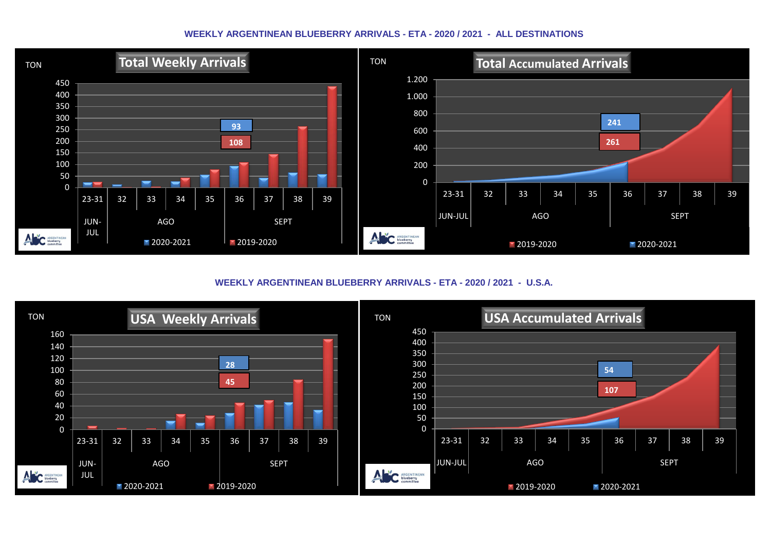#### **WEEKLY ARGENTINEAN BLUEBERRY ARRIVALS - ETA - 2020 / 2021 - ALL DESTINATIONS**



**WEEKLY ARGENTINEAN BLUEBERRY ARRIVALS - ETA - 2020 / 2021 - U.S.A.**

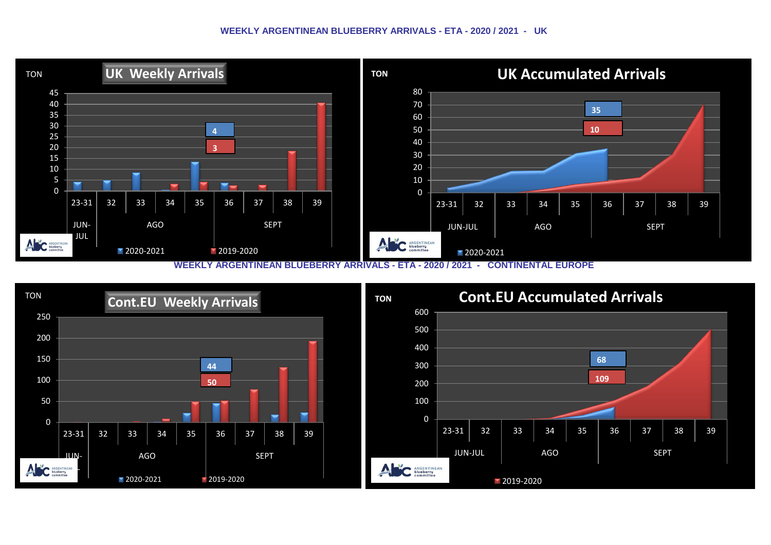#### **WEEKLY ARGENTINEAN BLUEBERRY ARRIVALS - ETA - 2020 / 2021 - UK**



**WEEKLY ARGENTINEAN BLUEBERRY ARRIVALS - ETA - 2020 / 2021 - CONTINENTAL EUROPE**